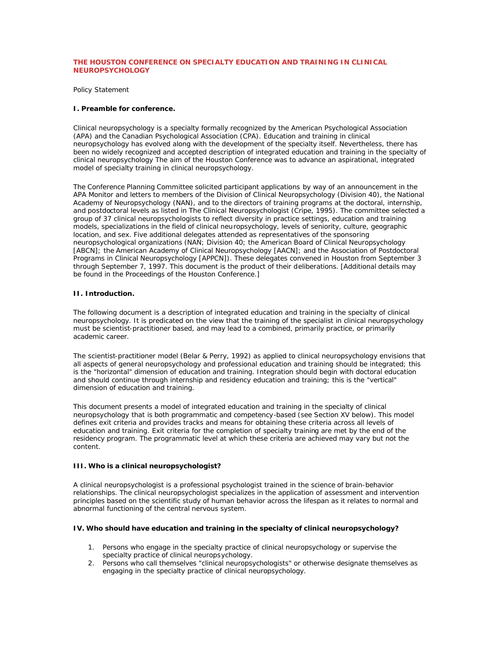#### **THE HOUSTON CONFERENCE ON SPECIALTY EDUCATION AND TRAINING IN CLINICAL NEUROPSYCHOLOGY**

Policy Statement

#### **I. Preamble for conference.**

Clinical neuropsychology is a specialty formally recognized by the American Psychological Association (APA) and the Canadian Psychological Association (CPA). Education and training in clinical neuropsychology has evolved along with the development of the specialty itself. Nevertheless, there has been no widely recognized and accepted description of integrated education and training in the specialty of clinical neuropsychology The aim of the Houston Conference was to advance an aspirational, integrated model of specialty training in clinical neuropsychology.

The Conference Planning Committee solicited participant applications by way of an announcement in the APA Monitor and letters to members of the Division of Clinical Neuropsychology (Division 40), the National Academy of Neuropsychology (NAN), and to the directors of training programs at the doctoral, internship, and postdoctoral levels as listed in The Clinical Neuropsychologist (Cripe, 1995). The committee selected a group of 37 clinical neuropsychologists to reflect diversity in practice settings, education and training models, specializations in the field of clinical neuropsychology, levels of seniority, culture, geographic location, and sex. Five additional delegates attended as representatives of the sponsoring neuropsychological organizations (NAN; Division 40; the American Board of Clinical Neuropsychology [ABCN]; the American Academy of Clinical Neuropsychology [AACN]; and the Association of Postdoctoral Programs in Clinical Neuropsychology [APPCN]). These delegates convened in Houston from September 3 through September 7, 1997. This document is the product of their deliberations. [Additional details may be found in the Proceedings of the Houston Conference.]

#### **II. Introduction.**

The following document is a description of integrated education and training in the specialty of clinical neuropsychology. It is predicated on the view that the training of the specialist in clinical neuropsychology must be scientist-practitioner based, and may lead to a combined, primarily practice, or primarily academic career.

The scientist-practitioner model (Belar & Perry, 1992) as applied to clinical neuropsychology envisions that all aspects of general neuropsychology and professional education and training should be integrated; this is the "horizontal" dimension of education and training. Integration should begin with doctoral education and should continue through internship and residency education and training; this is the "vertical" dimension of education and training.

This document presents a model of integrated education and training in the specialty of clinical neuropsychology that is both programmatic and competency-based (see Section XV below). This model defines exit criteria and provides tracks and means for obtaining these criteria across all levels of education and training. Exit criteria for the completion of specialty training are met by the end of the residency program. The programmatic level at which these criteria are achieved may vary but not the content.

#### **III. Who is a clinical neuropsychologist?**

A clinical neuropsychologist is a professional psychologist trained in the science of brain-behavior relationships. The clinical neuropsychologist specializes in the application of assessment and intervention principles based on the scientific study of human behavior across the lifespan as it relates to normal and abnormal functioning of the central nervous system.

#### **IV. Who should have education and training in the specialty of clinical neuropsychology?**

- 1. Persons who engage in the specialty practice of clinical neuropsychology or supervise the specialty practice of clinical neuropsychology.
- 2. Persons who call themselves "clinical neuropsychologists" or otherwise designate themselves as engaging in the specialty practice of clinical neuropsychology.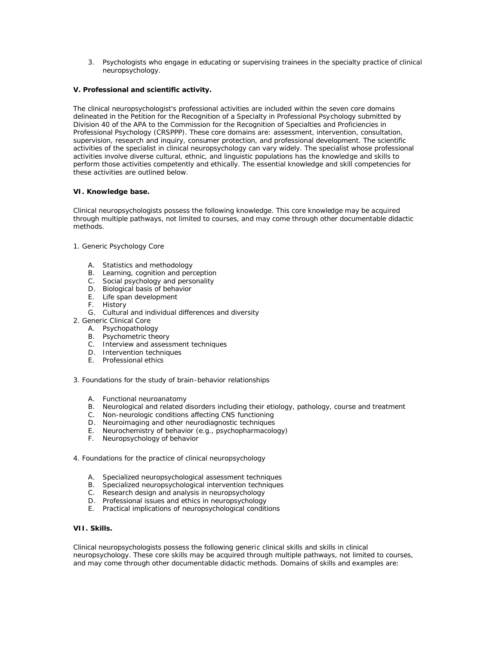3. Psychologists who engage in educating or supervising trainees in the specialty practice of clinical neuropsychology.

# **V. Professional and scientific activity.**

The clinical neuropsychologist's professional activities are included within the seven core domains delineated in the Petition for the Recognition of a Specialty in Professional Psychology submitted by Division 40 of the APA to the Commission for the Recognition of Specialties and Proficiencies in Professional Psychology (CRSPPP). These core domains are: assessment, intervention, consultation, supervision, research and inquiry, consumer protection, and professional development. The scientific activities of the specialist in clinical neuropsychology can vary widely. The specialist whose professional activities involve diverse cultural, ethnic, and linguistic populations has the knowledge and skills to perform those activities competently and ethically. The essential knowledge and skill competencies for these activities are outlined below.

### **VI. Knowledge base.**

Clinical neuropsychologists possess the following knowledge. This core knowledge may be acquired through multiple pathways, not limited to courses, and may come through other documentable didactic methods.

1. Generic Psychology Core

- A. Statistics and methodology
- B. Learning, cognition and perception
- C. Social psychology and personality
- D. Biological basis of behavior
- E. Life span development
- F. History
- G. Cultural and individual differences and diversity
- 2. Generic Clinical Core
	- A. Psychopathology
	- B. Psychometric theory
	- C. Interview and assessment techniques
	- D. Intervention techniques
	- E. Professional ethics

3. Foundations for the study of brain-behavior relationships

- A. Functional neuroanatomy
- B. Neurological and related disorders including their etiology, pathology, course and treatment
- C. Non-neurologic conditions affecting CNS functioning
- D. Neuroimaging and other neurodiagnostic techniques
- E. Neurochemistry of behavior (e.g., psychopharmacology)
- F. Neuropsychology of behavior
- 4. Foundations for the practice of clinical neuropsychology
	- A. Specialized neuropsychological assessment techniques
	- B. Specialized neuropsychological intervention techniques
	- C. Research design and analysis in neuropsychology
	- D. Professional issues and ethics in neuropsychology
	- E. Practical implications of neuropsychological conditions

#### **VII. Skills.**

Clinical neuropsychologists possess the following generic clinical skills and skills in clinical neuropsychology. These core skills may be acquired through multiple pathways, not limited to courses, and may come through other documentable didactic methods. Domains of skills and examples are: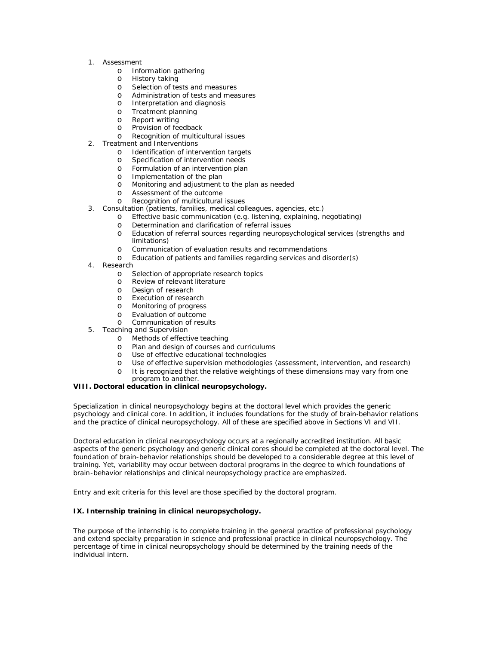- 1. Assessment
	- o Information gathering
	- o History taking
	- o Selection of tests and measures
	- o Administration of tests and measures
	- Interpretation and diagnosis
	- o Treatment planning
	- **Report writing**
	- o Provision of feedback
	- o Recognition of multicultural issues
- 2. Treatment and Interventions
	- o Identification of intervention targets
	- o Specification of intervention needs<br>o Formulation of an intervention plan
	- o Formulation of an intervention plan<br>
	o Implementation of the plan<br>
	o Monitoring and adjustment to the pl
	- Implementation of the plan
	- Monitoring and adjustment to the plan as needed
	- o Assessment of the outcome
	- o Recognition of multicultural issues
- 3. Consultation (patients, families, medical colleagues, agencies, etc.)
	- o Effective basic communication (e.g. listening, explaining, negotiating)
	- o Determination and clarification of referral issues
	- o Education of referral sources regarding neuropsychological services (strengths and limitations)
	- o Communication of evaluation results and recommendations
	- o Education of patients and families regarding services and disorder(s)
- 4. Research
	- o Selection of appropriate research topics<br>
	Review of relevant literature
	- Review of relevant literature
	- o Design of research
	- o Execution of research<br>o Monitoring of progress
	- o Monitoring of progress<br>o Evaluation of outcome
	- o Evaluation of outcome<br>
	o Communication of result
	- Communication of results
- 5. Teaching and Supervision
	- o Methods of effective teaching
	- o Plan and design of courses and curriculums
	- o Use of effective educational technologies
	- o Use of effective supervision methodologies (assessment, intervention, and research)
	- o It is recognized that the relative weightings of these dimensions may vary from one
		- program to another.

# **VIII. Doctoral education in clinical neuropsychology.**

Specialization in clinical neuropsychology begins at the doctoral level which provides the generic psychology and clinical core. In addition, it includes foundations for the study of brain-behavior relations and the practice of clinical neuropsychology. All of these are specified above in Sections VI and VII.

Doctoral education in clinical neuropsychology occurs at a regionally accredited institution. All basic aspects of the generic psychology and generic clinical cores should be completed at the doctoral level. The foundation of brain-behavior relationships should be developed to a considerable degree at this level of training. Yet, variability may occur between doctoral programs in the degree to which foundations of brain-behavior relationships and clinical neuropsychology practice are emphasized.

Entry and exit criteria for this level are those specified by the doctoral program.

#### **IX. Internship training in clinical neuropsychology.**

The purpose of the internship is to complete training in the general practice of professional psychology and extend specialty preparation in science and professional practice in clinical neuropsychology. The percentage of time in clinical neuropsychology should be determined by the training needs of the individual intern.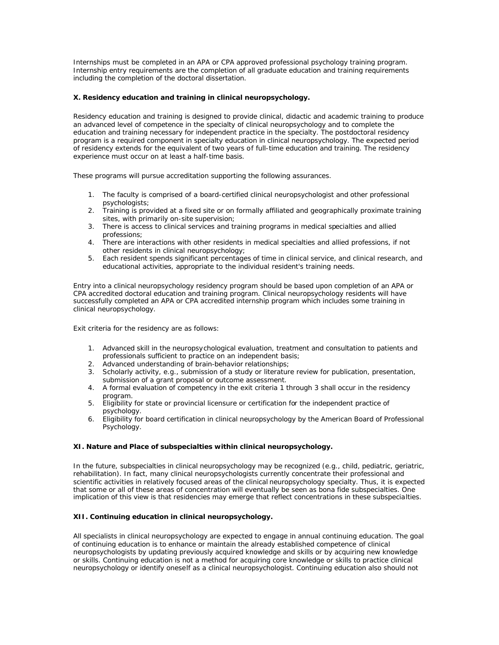Internships must be completed in an APA or CPA approved professional psychology training program. Internship entry requirements are the completion of all graduate education and training requirements including the completion of the doctoral dissertation.

### **X. Residency education and training in clinical neuropsychology.**

Residency education and training is designed to provide clinical, didactic and academic training to produce an advanced level of competence in the specialty of clinical neuropsychology and to complete the education and training necessary for independent practice in the specialty. The postdoctoral residency program is a required component in specialty education in clinical neuropsychology. The expected period of residency extends for the equivalent of two years of full-time education and training. The residency experience must occur on at least a half-time basis.

These programs will pursue accreditation supporting the following assurances.

- 1. The faculty is comprised of a board-certified clinical neuropsychologist and other professional psychologists;
- 2. Training is provided at a fixed site or on formally affiliated and geographically proximate training sites, with primarily on-site supervision;
- 3. There is access to clinical services and training programs in medical specialties and allied professions;
- 4. There are interactions with other residents in medical specialties and allied professions, if not other residents in clinical neuropsychology;
- 5. Each resident spends significant percentages of time in clinical service, and clinical research, and educational activities, appropriate to the individual resident's training needs.

Entry into a clinical neuropsychology residency program should be based upon completion of an APA or CPA accredited doctoral education and training program. Clinical neuropsychology residents will have successfully completed an APA or CPA accredited internship program which includes some training in clinical neuropsychology.

Exit criteria for the residency are as follows:

- 1. Advanced skill in the neuropsychological evaluation, treatment and consultation to patients and professionals sufficient to practice on an independent basis;
- 2. Advanced understanding of brain-behavior relationships;
- 3. Scholarly activity, e.g., submission of a study or literature review for publication, presentation, submission of a grant proposal or outcome assessment.
- 4. A formal evaluation of competency in the exit criteria 1 through 3 shall occur in the residency program.
- 5. Eligibility for state or provincial licensure or certification for the independent practice of psychology.
- 6. Eligibility for board certification in clinical neuropsychology by the American Board of Professional Psychology.

# **XI. Nature and Place of subspecialties within clinical neuropsychology.**

In the future, subspecialties in clinical neuropsychology may be recognized (e.g., child, pediatric, geriatric, rehabilitation). In fact, many clinical neuropsychologists currently concentrate their professional and scientific activities in relatively focused areas of the clinical neuropsychology specialty. Thus, it is expected that some or all of these areas of concentration will eventually be seen as bona fide subspecialties. One implication of this view is that residencies may emerge that reflect concentrations in these subspecialties.

# **XII. Continuing education in clinical neuropsychology.**

All specialists in clinical neuropsychology are expected to engage in annual continuing education. The goal of continuing education is to enhance or maintain the already established competence of clinical neuropsychologists by updating previously acquired knowledge and skills or by acquiring new knowledge or skills. Continuing education is not a method for acquiring core knowledge or skills to practice clinical neuropsychology or identify oneself as a clinical neuropsychologist. Continuing education also should not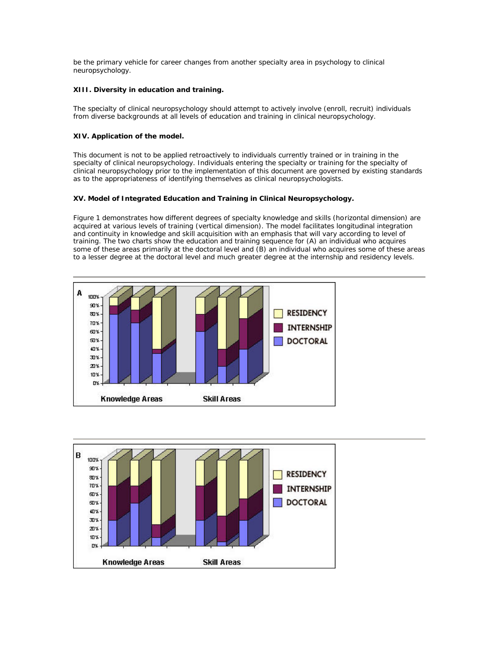be the primary vehicle for career changes from another specialty area in psychology to clinical neuropsychology.

### **XIII. Diversity in education and training.**

The specialty of clinical neuropsychology should attempt to actively involve (enroll, recruit) individuals from diverse backgrounds at all levels of education and training in clinical neuropsychology.

#### **XIV. Application of the model.**

This document is not to be applied retroactively to individuals currently trained or in training in the specialty of clinical neuropsychology. Individuals entering the specialty or training for the specialty of clinical neuropsychology prior to the implementation of this document are governed by existing standards as to the appropriateness of identifying themselves as clinical neuropsychologists.

### **XV. Model of Integrated Education and Training in Clinical Neuropsychology.**

Figure 1 demonstrates how different degrees of specialty knowledge and skills (horizontal dimension) are acquired at various levels of training (vertical dimension). The model facilitates longitudinal integration and continuity in knowledge and skill acquisition with an emphasis that will vary according to level of training. The two charts show the education and training sequence for (A) an individual who acquires some of these areas primarily at the doctoral level and (B) an individual who acquires some of these areas to a lesser degree at the doctoral level and much greater degree at the internship and residency levels.